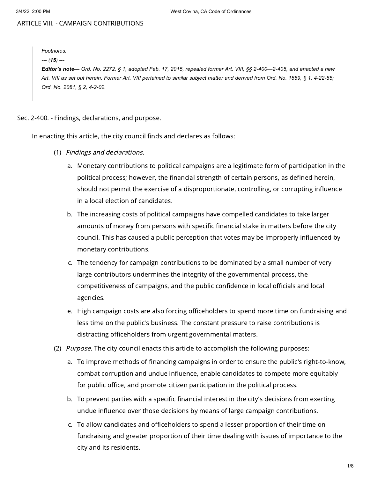# ARTICLE VIII. - CAMPAIGN CONTRIBUTIONS

*Footnotes: --- (15) ---* Editor's note- Ord. No. 2272, § 1, adopted Feb. 17, 2015, repealed former Art. VIII, §§ 2-400-2-405, and enacted a new Art. VIII as set out herein. Former Art. VIII pertained to similar subject matter and derived from Ord. No. 1669, § 1, 4-22-85; *Ord. No. 2081, § 2, 4-2-02.*

### Sec. 2-400. - Findings, declarations, and purpose.

In enacting this article, the city council finds and declares as follows:

- (1) Findings and declarations.
	- a. Monetary contributions to political campaigns are a legitimate form of participation in the political process; however, the financial strength of certain persons, as defined herein, should not permit the exercise of a disproportionate, controlling, or corrupting influence in a local election of candidates.
	- b. The increasing costs of political campaigns have compelled candidates to take larger amounts of money from persons with specific financial stake in matters before the city council. This has caused a public perception that votes may be improperly influenced by monetary contributions.
	- c. The tendency for campaign contributions to be dominated by a small number of very large contributors undermines the integrity of the governmental process, the competitiveness of campaigns, and the public confidence in local officials and local agencies.
	- e. High campaign costs are also forcing officeholders to spend more time on fundraising and less time on the public's business. The constant pressure to raise contributions is distracting officeholders from urgent governmental matters.
- (2) *Purpose*. The city council enacts this article to accomplish the following purposes:
	- a. To improve methods of financing campaigns in order to ensure the public's right-to-know, combat corruption and undue influence, enable candidates to compete more equitably for public office, and promote citizen participation in the political process.
	- b. To prevent parties with a specific financial interest in the city's decisions from exerting undue influence over those decisions by means of large campaign contributions.
	- c. To allow candidates and officeholders to spend a lesser proportion of their time on fundraising and greater proportion of their time dealing with issues of importance to the city and its residents.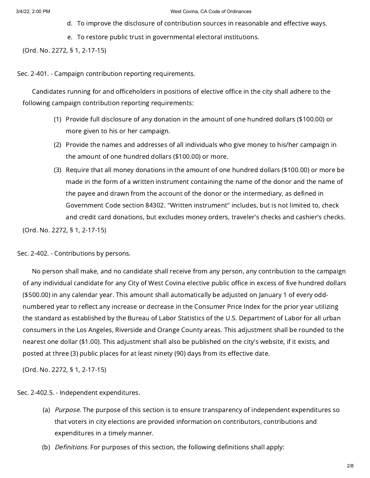- d. To improve the disclosure of contribution sources in reasonable and effective ways.
- e. To restore public trust in governmental electoral institutions.

(Ord. No. 2272, § 1, 2-17-15)

Sec. 2-401. - Campaign contribution reporting requirements.

Candidates running for and officeholders in positions of elective office in the city shall adhere to the following campaign contribution reporting requirements:

- (1) Provide full disclosure of any donation in the amount of one hundred dollars (\$100.00) or more given to his or her campaign.
- (2) Provide the names and addresses of all individuals who give money to his/her campaign in the amount of one hundred dollars (\$100.00) or more.
- (3) Require that all money donations in the amount of one hundred dollars (\$100.00) or more be made in the form of a written instrument containing the name of the donor and the name of the payee and drawn from the account of the donor or the intermediary, as defined in Government Code section 84302. "Written instrument" includes, but is not limited to, check and credit card donations, but excludes money orders, traveler's checks and cashier's checks.

(Ord. No. 2272, § 1, 2-17-15)

## Sec. 2-402. - Contributions by persons.

No person shall make, and no candidate shall receive from any person, any contribution to the campaign of any individual candidate for any City of West Covina elective public office in excess of five hundred dollars (\$500.00) in any calendar year. This amount shall automatically be adjusted on January 1 of every oddnumbered year to reflect any increase or decrease in the Consumer Price Index for the prior year utilizing the standard as established by the Bureau of Labor Statistics of the U.S. Department of Labor for all urban consumers in the Los Angeles, Riverside and Orange County areas. This adjustment shall be rounded to the nearest one dollar (\$1.00). This adjustment shall also be published on the city's website, if it exists, and posted at three (3) public places for at least ninety (90) days from its effective date.

(Ord. No. 2272, § 1, 2-17-15)

Sec. 2-402.5. - Independent expenditures.

- (a) *Purpose*. The purpose of this section is to ensure transparency of independent expenditures so that voters in city elections are provided information on contributors, contributions and expenditures in a timely manner.
- (b) *Definitions*. For purposes of this section, the following definitions shall apply: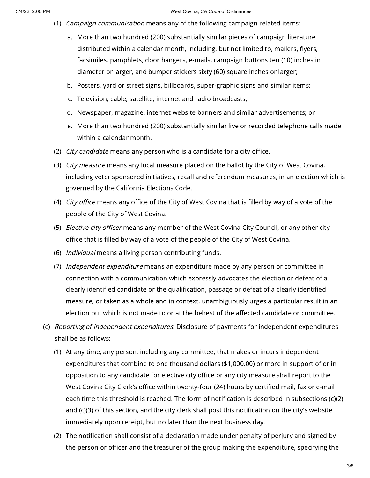- (1) Campaign communication means any of the following campaign related items:
	- a. More than two hundred (200) substantially similar pieces of campaign literature distributed within a calendar month, including, but not limited to, mailers, flyers, facsimiles, pamphlets, door hangers, e-mails, campaign buttons ten (10) inches in diameter or larger, and bumper stickers sixty (60) square inches or larger;
	- b. Posters, yard or street signs, billboards, super-graphic signs and similar items;
	- c. Television, cable, satellite, internet and radio broadcasts;
	- d. Newspaper, magazine, internet website banners and similar advertisements; or
	- e. More than two hundred (200) substantially similar live or recorded telephone calls made within a calendar month.
- (2) *City candidate* means any person who is a candidate for a city office.
- (3) *City measure* means any local measure placed on the ballot by the City of West Covina, including voter sponsored initiatives, recall and referendum measures, in an election which is governed by the California Elections Code.
- (4) *City office* means any office of the City of West Covina that is filled by way of a vote of the people of the City of West Covina.
- (5) *Elective city officer* means any member of the West Covina City Council, or any other city office that is filled by way of a vote of the people of the City of West Covina.
- (6) *Individual* means a living person contributing funds.
- (7) *Independent expenditure* means an expenditure made by any person or committee in connection with a communication which expressly advocates the election or defeat of a clearly identified candidate or the qualification, passage or defeat of a clearly identified measure, or taken as a whole and in context, unambiguously urges a particular result in an election but which is not made to or at the behest of the affected candidate or committee.
- (c) Reporting of independent expenditures. Disclosure of payments for independent expenditures shall be as follows:
	- (1) At any time, any person, including any committee, that makes or incurs independent expenditures that combine to one thousand dollars (\$1,000.00) or more in support of or in opposition to any candidate for elective city office or any city measure shall report to the West Covina City Clerk's office within twenty-four (24) hours by certified mail, fax or e-mail each time this threshold is reached. The form of notification is described in subsections (c)(2) and (c)(3) of this section, and the city clerk shall post this notification on the city's website immediately upon receipt, but no later than the next business day.
	- (2) The notification shall consist of a declaration made under penalty of perjury and signed by the person or officer and the treasurer of the group making the expenditure, specifying the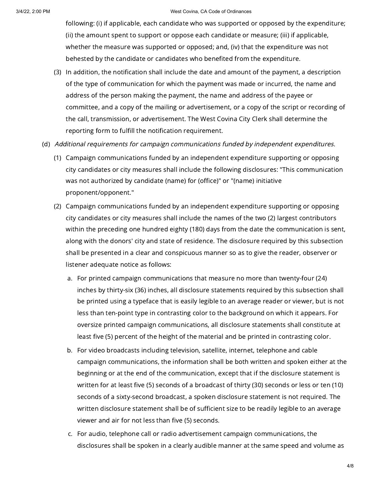following: (i) if applicable, each candidate who was supported or opposed by the expenditure; (ii) the amount spent to support or oppose each candidate or measure; (iii) if applicable, whether the measure was supported or opposed; and, (iv) that the expenditure was not behested by the candidate or candidates who benefited from the expenditure.

- (3) In addition, the notification shall include the date and amount of the payment, a description of the type of communication for which the payment was made or incurred, the name and address of the person making the payment, the name and address of the payee or committee, and a copy of the mailing or advertisement, or a copy of the script or recording of the call, transmission, or advertisement. The West Covina City Clerk shall determine the reporting form to fulfill the notification requirement.
- (d) Additional requirements for campaign communications funded by independent expenditures.
	- (1) Campaign communications funded by an independent expenditure supporting or opposing city candidates or city measures shall include the following disclosures: "This communication was not authorized by candidate (name) for (office)" or "(name) initiative proponent/opponent."
	- (2) Campaign communications funded by an independent expenditure supporting or opposing city candidates or city measures shall include the names of the two (2) largest contributors within the preceding one hundred eighty (180) days from the date the communication is sent, along with the donors' city and state of residence. The disclosure required by this subsection shall be presented in a clear and conspicuous manner so as to give the reader, observer or listener adequate notice as follows:
		- a. For printed campaign communications that measure no more than twenty-four (24) inches by thirty-six (36) inches, all disclosure statements required by this subsection shall be printed using a typeface that is easily legible to an average reader or viewer, but is not less than ten-point type in contrasting color to the background on which it appears. For oversize printed campaign communications, all disclosure statements shall constitute at least five (5) percent of the height of the material and be printed in contrasting color.
		- b. For video broadcasts including television, satellite, internet, telephone and cable campaign communications, the information shall be both written and spoken either at the beginning or at the end of the communication, except that if the disclosure statement is written for at least five (5) seconds of a broadcast of thirty (30) seconds or less or ten (10) seconds of a sixty-second broadcast, a spoken disclosure statement is not required. The written disclosure statement shall be of sufficient size to be readily legible to an average viewer and air for not less than five (5) seconds.
		- c. For audio, telephone call or radio advertisement campaign communications, the disclosures shall be spoken in a clearly audible manner at the same speed and volume as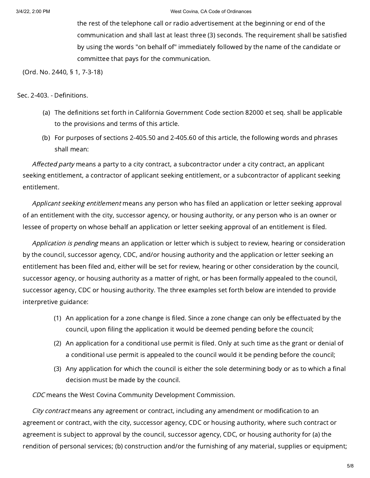the rest of the telephone call or radio advertisement at the beginning or end of the communication and shall last at least three (3) seconds. The requirement shall be satisfied by using the words "on behalf of" immediately followed by the name of the candidate or committee that pays for the communication.

(Ord. No. 2440, § 1, 7-3-18)

### Sec. 2-403. - Definitions.

- (a) The definitions set forth in California Government Code section 82000 et seq. shall be applicable to the provisions and terms of this article.
- (b) For purposes of sections 2-405.50 and 2-405.60 of this article, the following words and phrases shall mean:

Affected party means a party to a city contract, a subcontractor under a city contract, an applicant seeking entitlement, a contractor of applicant seeking entitlement, or a subcontractor of applicant seeking entitlement.

Applicant seeking entitlement means any person who has filed an application or letter seeking approval of an entitlement with the city, successor agency, or housing authority, or any person who is an owner or lessee of property on whose behalf an application or letter seeking approval of an entitlement is filed.

Application is pending means an application or letter which is subject to review, hearing or consideration by the council, successor agency, CDC, and/or housing authority and the application or letter seeking an entitlement has been filed and, either will be set for review, hearing or other consideration by the council, successor agency, or housing authority as a matter of right, or has been formally appealed to the council, successor agency, CDC or housing authority. The three examples set forth below are intended to provide interpretive guidance:

- (1) An application for a zone change is filed. Since a zone change can only be effectuated by the council, upon filing the application it would be deemed pending before the council;
- (2) An application for a conditional use permit is filed. Only at such time as the grant or denial of a conditional use permit is appealed to the council would it be pending before the council;
- (3) Any application for which the council is either the sole determining body or as to which a final decision must be made by the council.

CDC means the West Covina Community Development Commission.

City contract means any agreement or contract, including any amendment or modification to an agreement or contract, with the city, successor agency, CDC or housing authority, where such contract or agreement is subject to approval by the council, successor agency, CDC, or housing authority for (a) the rendition of personal services; (b) construction and/or the furnishing of any material, supplies or equipment;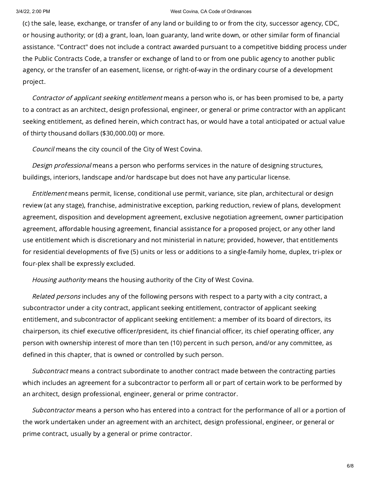(c) the sale, lease, exchange, or transfer of any land or building to or from the city, successor agency, CDC, or housing authority; or (d) a grant, loan, loan guaranty, land write down, or other similar form of financial assistance. "Contract" does not include a contract awarded pursuant to a competitive bidding process under the Public Contracts Code, a transfer or exchange of land to or from one public agency to another public agency, or the transfer of an easement, license, or right-of-way in the ordinary course of a development project.

Contractor of applicant seeking entitlement means a person who is, or has been promised to be, a party to a contract as an architect, design professional, engineer, or general or prime contractor with an applicant seeking entitlement, as defined herein, which contract has, or would have a total anticipated or actual value of thirty thousand dollars (\$30,000.00) or more.

Council means the city council of the City of West Covina.

Design professional means a person who performs services in the nature of designing structures, buildings, interiors, landscape and/or hardscape but does not have any particular license.

Entitlement means permit, license, conditional use permit, variance, site plan, architectural or design review (at any stage), franchise, administrative exception, parking reduction, review of plans, development agreement, disposition and development agreement, exclusive negotiation agreement, owner participation agreement, affordable housing agreement, financial assistance for a proposed project, or any other land use entitlement which is discretionary and not ministerial in nature; provided, however, that entitlements for residential developments of five (5) units or less or additions to a single-family home, duplex, tri-plex or four-plex shall be expressly excluded.

Housing authority means the housing authority of the City of West Covina.

Related persons includes any of the following persons with respect to a party with a city contract, a subcontractor under a city contract, applicant seeking entitlement, contractor of applicant seeking entitlement, and subcontractor of applicant seeking entitlement: a member of its board of directors, its chairperson, its chief executive officer/president, its chief financial officer, its chief operating officer, any person with ownership interest of more than ten (10) percent in such person, and/or any committee, as defined in this chapter, that is owned or controlled by such person.

Subcontract means a contract subordinate to another contract made between the contracting parties which includes an agreement for a subcontractor to perform all or part of certain work to be performed by an architect, design professional, engineer, general or prime contractor.

Subcontractor means a person who has entered into a contract for the performance of all or a portion of the work undertaken under an agreement with an architect, design professional, engineer, or general or prime contract, usually by a general or prime contractor.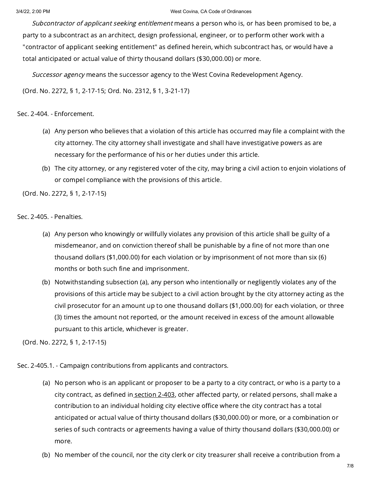Subcontractor of applicant seeking entitlement means a person who is, or has been promised to be, a party to a subcontract as an architect, design professional, engineer, or to perform other work with a "contractor of applicant seeking entitlement" as defined herein, which subcontract has, or would have a total anticipated or actual value of thirty thousand dollars (\$30,000.00) or more.

Successor agency means the successor agency to the West Covina Redevelopment Agency.

(Ord. No. 2272, § 1, 2-17-15; Ord. No. 2312, § 1, 3-21-17)

# Sec. 2-404. - Enforcement.

- (a) Any person who believes that a violation of this article has occurred may file a complaint with the city attorney. The city attorney shall investigate and shall have investigative powers as are necessary for the performance of his or her duties under this article.
- (b) The city attorney, or any registered voter of the city, may bring a civil action to enjoin violations of or compel compliance with the provisions of this article.

(Ord. No. 2272, § 1, 2-17-15)

Sec. 2-405. - Penalties.

- (a) Any person who knowingly or willfully violates any provision of this article shall be guilty of a misdemeanor, and on conviction thereof shall be punishable by a fine of not more than one thousand dollars (\$1,000.00) for each violation or by imprisonment of not more than six (6) months or both such fine and imprisonment.
- (b) Notwithstanding subsection (a), any person who intentionally or negligently violates any of the provisions of this article may be subject to a civil action brought by the city attorney acting as the civil prosecutor for an amount up to one thousand dollars (\$1,000.00) for each violation, or three (3) times the amount not reported, or the amount received in excess of the amount allowable pursuant to this article, whichever is greater.

(Ord. No. 2272, § 1, 2-17-15)

Sec. 2-405.1. - Campaign contributions from applicants and contractors.

- (a) No person who is an applicant or proposer to be a party to a city contract, or who is a party to a city contract, as defined in [section](https://library.municode.com/) 2-403, other affected party, or related persons, shall make a contribution to an individual holding city elective office where the city contract has a total anticipated or actual value of thirty thousand dollars (\$30,000.00) or more, or a combination or series of such contracts or agreements having a value of thirty thousand dollars (\$30,000.00) or more.
- (b) No member of the council, nor the city clerk or city treasurer shall receive a contribution from a